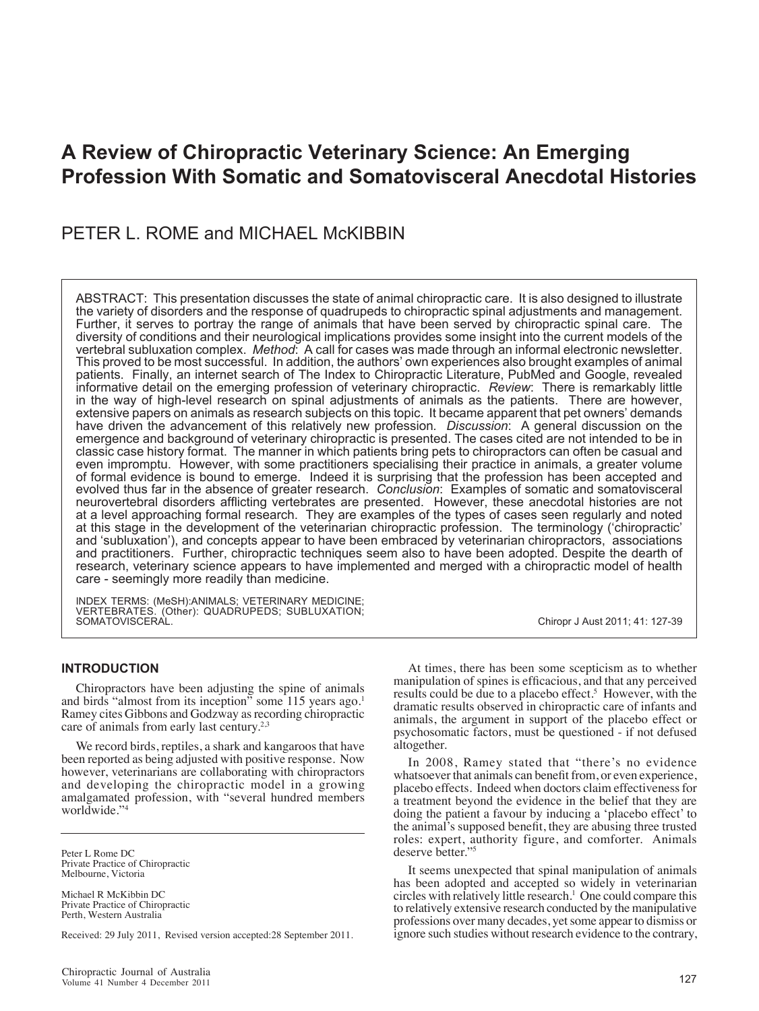# **A Review of Chiropractic Veterinary Science: An Emerging Profession With Somatic and Somatovisceral Anecdotal Histories**

## PETER L. ROME and MICHAEL McKIBBIN

ABSTRACT: This presentation discusses the state of animal chiropractic care. It is also designed to illustrate the variety of disorders and the response of quadrupeds to chiropractic spinal adjustments and management. Further, it serves to portray the range of animals that have been served by chiropractic spinal care. The diversity of conditions and their neurological implications provides some insight into the current models of the vertebral subluxation complex. *Method*: A call for cases was made through an informal electronic newsletter. This proved to be most successful. In addition, the authors' own experiences also brought examples of animal patients. Finally, an internet search of The Index to Chiropractic Literature, PubMed and Google, revealed informative detail on the emerging profession of veterinary chiropractic. *Review*: There is remarkably little in the way of high-level research on spinal adjustments of animals as the patients. There are however, extensive papers on animals as research subjects on this topic. It became apparent that pet owners' demands have driven the advancement of this relatively new profession*. Discussion*: A general discussion on the emergence and background of veterinary chiropractic is presented. The cases cited are not intended to be in classic case history format. The manner in which patients bring pets to chiropractors can often be casual and even impromptu. However, with some practitioners specialising their practice in animals, a greater volume of formal evidence is bound to emerge. Indeed it is surprising that the profession has been accepted and evolved thus far in the absence of greater research. *Conclusion*: Examples of somatic and somatovisceral neurovertebral disorders afflicting vertebrates are presented. However, these anecdotal histories are not at a level approaching formal research. They are examples of the types of cases seen regularly and noted at this stage in the development of the veterinarian chiropractic profession. The terminology ('chiropractic' and 'subluxation'), and concepts appear to have been embraced by veterinarian chiropractors, associations and practitioners. Further, chiropractic techniques seem also to have been adopted. Despite the dearth of research, veterinary science appears to have implemented and merged with a chiropractic model of health care - seemingly more readily than medicine.

INDEX TERMS: (MeSH):ANIMALS; VETERINARY MEDICINE; VERTEBRATES. (Other): QUADRUPEDS; SUBLUXATION;

Chiropr J Aust 2011; 41: 127-39

## **INTRODUCTION**

Chiropractors have been adjusting the spine of animals and birds "almost from its inception" some 115 years ago.<sup>1</sup> Ramey cites Gibbons and Godzway as recording chiropractic care of animals from early last century.<sup>2,3</sup>

We record birds, reptiles, a shark and kangaroos that have been reported as being adjusted with positive response. Now however, veterinarians are collaborating with chiropractors and developing the chiropractic model in a growing amalgamated profession, with "several hundred members worldwide."

Peter L Rome DC Private Practice of Chiropractic Melbourne, Victoria

Michael R McKibbin DC Private Practice of Chiropractic Perth, Western Australia

Received: 29 July 2011, Revised version accepted:28 September 2011.

At times, there has been some scepticism as to whether manipulation of spines is efficacious, and that any perceived results could be due to a placebo effect.<sup>5</sup> However, with the dramatic results observed in chiropractic care of infants and animals, the argument in support of the placebo effect or psychosomatic factors, must be questioned - if not defused altogether.

In 2008, Ramey stated that "there's no evidence whatsoever that animals can benefit from, or even experience, placebo effects. Indeed when doctors claim effectiveness for a treatment beyond the evidence in the belief that they are doing the patient a favour by inducing a 'placebo effect' to the animal's supposed benefit, they are abusing three trusted roles: expert, authority figure, and comforter. Animals deserve better."5

It seems unexpected that spinal manipulation of animals has been adopted and accepted so widely in veterinarian circles with relatively little research.<sup>1</sup> One could compare this to relatively extensive research conducted by the manipulative professions over many decades, yet some appear to dismiss or ignore such studies without research evidence to the contrary,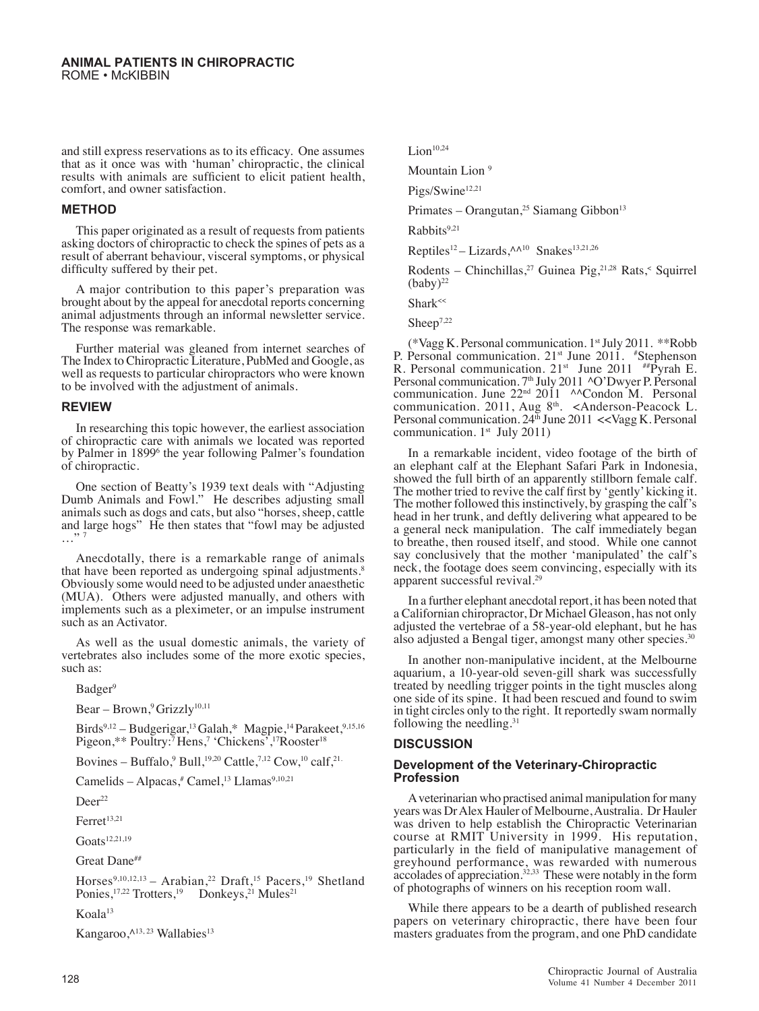and still express reservations as to its efficacy. One assumes that as it once was with 'human' chiropractic, the clinical results with animals are sufficient to elicit patient health, comfort, and owner satisfaction.

#### **METHOD**

This paper originated as a result of requests from patients asking doctors of chiropractic to check the spines of pets as a result of aberrant behaviour, visceral symptoms, or physical difficulty suffered by their pet.

A major contribution to this paper's preparation was brought about by the appeal for anecdotal reports concerning animal adjustments through an informal newsletter service. The response was remarkable.

Further material was gleaned from internet searches of The Index to Chiropractic Literature, PubMed and Google, as well as requests to particular chiropractors who were known to be involved with the adjustment of animals.

## **REVIEW**

In researching this topic however, the earliest association of chiropractic care with animals we located was reported by Palmer in 1899<sup>6</sup> the year following Palmer's foundation of chiropractic.

One section of Beatty's 1939 text deals with "Adjusting Dumb Animals and Fowl." He describes adjusting small animals such as dogs and cats, but also "horses, sheep, cattle and large hogs" He then states that "fowl may be adjusted  $\ldots$  " 7

Anecdotally, there is a remarkable range of animals that have been reported as undergoing spinal adjustments.<sup>8</sup> Obviously some would need to be adjusted under anaesthetic (MUA). Others were adjusted manually, and others with implements such as a pleximeter, or an impulse instrument such as an Activator.

As well as the usual domestic animals, the variety of vertebrates also includes some of the more exotic species, such as:

Badger<sup>9</sup>

Bear – Brown, <sup>9</sup> Grizzly<sup>10,11</sup>

Birds<sup>9,12</sup> – Budgerigar,<sup>13</sup> Galah,\* Magpie,<sup>14</sup> Parakeet,<sup>9,15,16</sup> Pigeon,\*\* Poultry:<sup>7</sup> Hens,<sup>7</sup> 'Chickens',<sup>17</sup>Rooster<sup>18</sup>

Bovines – Buffalo, <sup>9</sup> Bull, <sup>19,20</sup> Cattle,<sup>7,12</sup> Cow, <sup>10</sup> calf,<sup>21.</sup>

Camelids – Alpacas, # Camel, <sup>13</sup> Llamas<sup>9, 10,21</sup>

 $Deer<sup>22</sup>$ 

Ferret<sup>13,21</sup>

 $Goats<sup>12,21,19</sup>$ 

Great Dane##

Horses<sup>9,10,12,13</sup> – Arabian,<sup>22</sup> Draft,<sup>15</sup> Pacers,<sup>19</sup> Shetland Ponies, $17,22$  Trotters, $19$  Donkeys, $21$  Mules<sup>21</sup>

 $K$ oala<sup>13</sup>

Kangaroo,  $\lambda^{13, 23}$  Wallabies<sup>13</sup>

 $Lion<sup>10,24</sup>$ 

Mountain Lion<sup>9</sup>

Pigs/Swine<sup>12,21</sup>

Primates – Orangutan,<sup>25</sup> Siamang Gibbon<sup>13</sup>

Rabbits<sup>9,21</sup>

Reptiles<sup>12</sup> – Lizards, $\wedge^{\wedge 10}$  Snakes<sup>13,21,26</sup>

Rodents – Chinchillas,<sup>27</sup> Guinea Pig,<sup>21,28</sup> Rats,< Squirrel  $(baby)^{22}$ 

Shark<<

Sheep<sup>7,22</sup>

(\*Vagg K. Personal communication. 1st July 2011. \*\*Robb P. Personal communication. 21<sup>st</sup> June 2011. #Stephenson R. Personal communication.  $21^{st}$  June  $2011$  #Pyrah E. Personal communication. 7<sup>th</sup> July 2011 ^O'Dwyer P. Personal communication. June  $22<sup>nd</sup>$  2011  $\wedge$  Condon M. Personal communication. 2011, Aug  $8<sup>th</sup>$ . <Anderson-Peacock L. Personal communication.  $24^{\frac{1}{10}}$  June  $2011 \leq$ Vagg K. Personal communication.  $1<sup>st</sup>$  July 2011)

In a remarkable incident, video footage of the birth of an elephant calf at the Elephant Safari Park in Indonesia, showed the full birth of an apparently stillborn female calf. The mother tried to revive the calf first by 'gently' kicking it. The mother followed this instinctively, by grasping the calf's head in her trunk, and deftly delivering what appeared to be a general neck manipulation. The calf immediately began to breathe, then roused itself, and stood. While one cannot say conclusively that the mother 'manipulated' the calf's neck, the footage does seem convincing, especially with its apparent successful revival.29

In a further elephant anecdotal report, it has been noted that a Californian chiropractor, Dr Michael Gleason, has not only adjusted the vertebrae of a 58-year-old elephant, but he has also adjusted a Bengal tiger, amongst many other species.<sup>30</sup>

In another non-manipulative incident, at the Melbourne aquarium, a 10-year-old seven-gill shark was successfully treated by needling trigger points in the tight muscles along one side of its spine. It had been rescued and found to swim in tight circles only to the right. It reportedly swam normally following the needling. $31$ 

## **DISCUSSION**

#### **Development of the Veterinary-Chiropractic Profession**

A veterinarian who practised animal manipulation for many years was Dr Alex Hauler of Melbourne, Australia. Dr Hauler was driven to help establish the Chiropractic Veterinarian course at RMIT University in 1999. His reputation, particularly in the field of manipulative management of greyhound performance, was rewarded with numerous accolades of appreciation.<sup>32,33</sup> These were notably in the form of photographs of winners on his reception room wall.

While there appears to be a dearth of published research papers on veterinary chiropractic, there have been four masters graduates from the program, and one PhD candidate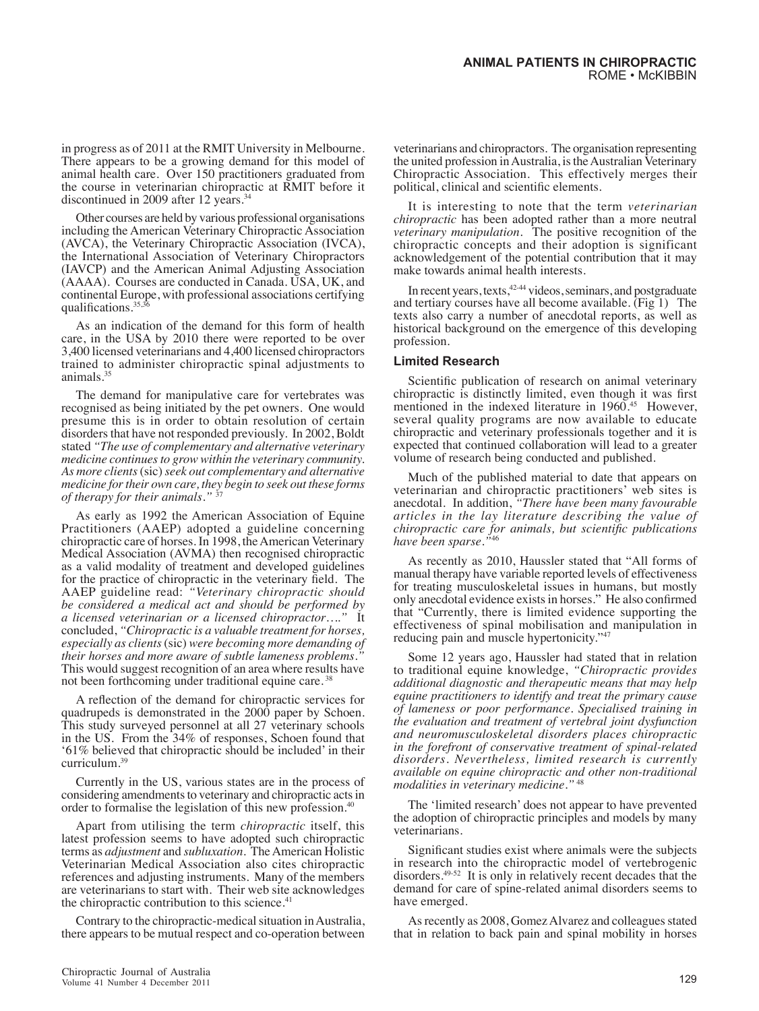in progress as of 2011 at the RMIT University in Melbourne. There appears to be a growing demand for this model of animal health care. Over 150 practitioners graduated from the course in veterinarian chiropractic at RMIT before it discontinued in 2009 after 12 years.<sup>34</sup>

Other courses are held by various professional organisations including the American Veterinary Chiropractic Association (AVCA), the Veterinary Chiropractic Association (IVCA), the International Association of Veterinary Chiropractors (IAVCP) and the American Animal Adjusting Association (AAAA). Courses are conducted in Canada. USA, UK, and continental Europe, with professional associations certifying qualifications. $35,36$ 

As an indication of the demand for this form of health care, in the USA by 2010 there were reported to be over 3,400 licensed veterinarians and 4,400 licensed chiropractors trained to administer chiropractic spinal adjustments to animals $35$ 

The demand for manipulative care for vertebrates was recognised as being initiated by the pet owners. One would presume this is in order to obtain resolution of certain disorders that have not responded previously. In 2002, Boldt stated *"The use of complementary and alternative veterinary medicine continues to grow within the veterinary community. As more clients* (sic) *seek out complementary and alternative medicine for their own care, they begin to seek out these forms of therapy for their animals."* <sup>37</sup>

As early as 1992 the American Association of Equine Practitioners (AAEP) adopted a guideline concerning chiropractic care of horses. In 1998, the American Veterinary Medical Association (AVMA) then recognised chiropractic as a valid modality of treatment and developed guidelines for the practice of chiropractic in the veterinary field. The AAEP guideline read: *"Veterinary chiropractic should be considered a medical act and should be performed by a licensed veterinarian or a licensed chiropractor…."* It concluded, *"Chiropractic is a valuable treatment for horses, especially as clients* (sic) *were becoming more demanding of their horses and more aware of subtle lameness problems."* This would suggest recognition of an area where results have not been forthcoming under traditional equine care.<sup>38</sup>

A reflection of the demand for chiropractic services for quadrupeds is demonstrated in the 2000 paper by Schoen. This study surveyed personnel at all 27 veterinary schools in the US. From the 34% of responses, Schoen found that '61% believed that chiropractic should be included' in their curriculum.<sup>39</sup>

Currently in the US, various states are in the process of considering amendments to veterinary and chiropractic acts in order to formalise the legislation of this new profession.<sup>40</sup>

Apart from utilising the term *chiropractic* itself, this latest profession seems to have adopted such chiropractic terms as *adjustment* and *subluxation*. The American Holistic Veterinarian Medical Association also cites chiropractic references and adjusting instruments. Many of the members are veterinarians to start with. Their web site acknowledges the chiropractic contribution to this science.<sup>41</sup>

Contrary to the chiropractic-medical situation in Australia, there appears to be mutual respect and co-operation between

veterinarians and chiropractors. The organisation representing the united profession in Australia, is the Australian Veterinary Chiropractic Association. This effectively merges their political, clinical and scientific elements.

It is interesting to note that the term *veterinarian chiropractic* has been adopted rather than a more neutral *veterinary manipulation.* The positive recognition of the chiropractic concepts and their adoption is significant acknowledgement of the potential contribution that it may make towards animal health interests.

In recent years, texts,<sup>42-44</sup> videos, seminars, and postgraduate and tertiary courses have all become available. (Fig 1) The texts also carry a number of anecdotal reports, as well as historical background on the emergence of this developing profession.

## **Limited Research**

Scientific publication of research on animal veterinary chiropractic is distinctly limited, even though it was first mentioned in the indexed literature in  $1960<sup>15</sup>$  However, several quality programs are now available to educate chiropractic and veterinary professionals together and it is expected that continued collaboration will lead to a greater volume of research being conducted and published.

Much of the published material to date that appears on veterinarian and chiropractic practitioners' web sites is anecdotal. In addition, *"There have been many favourable articles in the lay literature describing the value of chiropractic care for animals, but scientific publications have been sparse."*<sup>46</sup>

As recently as 2010, Haussler stated that "All forms of manual therapy have variable reported levels of effectiveness for treating musculoskeletal issues in humans, but mostly only anecdotal evidence exists in horses." He also confirmed that "Currently, there is limited evidence supporting the effectiveness of spinal mobilisation and manipulation in reducing pain and muscle hypertonicity."47

Some 12 years ago, Haussler had stated that in relation to traditional equine knowledge, *"Chiropractic provides additional diagnostic and therapeutic means that may help equine practitioners to identify and treat the primary cause of lameness or poor performance. Specialised training in the evaluation and treatment of vertebral joint dysfunction and neuromusculoskeletal disorders places chiropractic in the forefront of conservative treatment of spinal-related disorders. Nevertheless, limited research is currently available on equine chiropractic and other non-traditional modalities in veterinary medicine."* 48

The 'limited research' does not appear to have prevented the adoption of chiropractic principles and models by many veterinarians.

Significant studies exist where animals were the subjects in research into the chiropractic model of vertebrogenic disorders.49-52 It is only in relatively recent decades that the demand for care of spine-related animal disorders seems to have emerged.

As recently as 2008, Gomez Alvarez and colleagues stated that in relation to back pain and spinal mobility in horses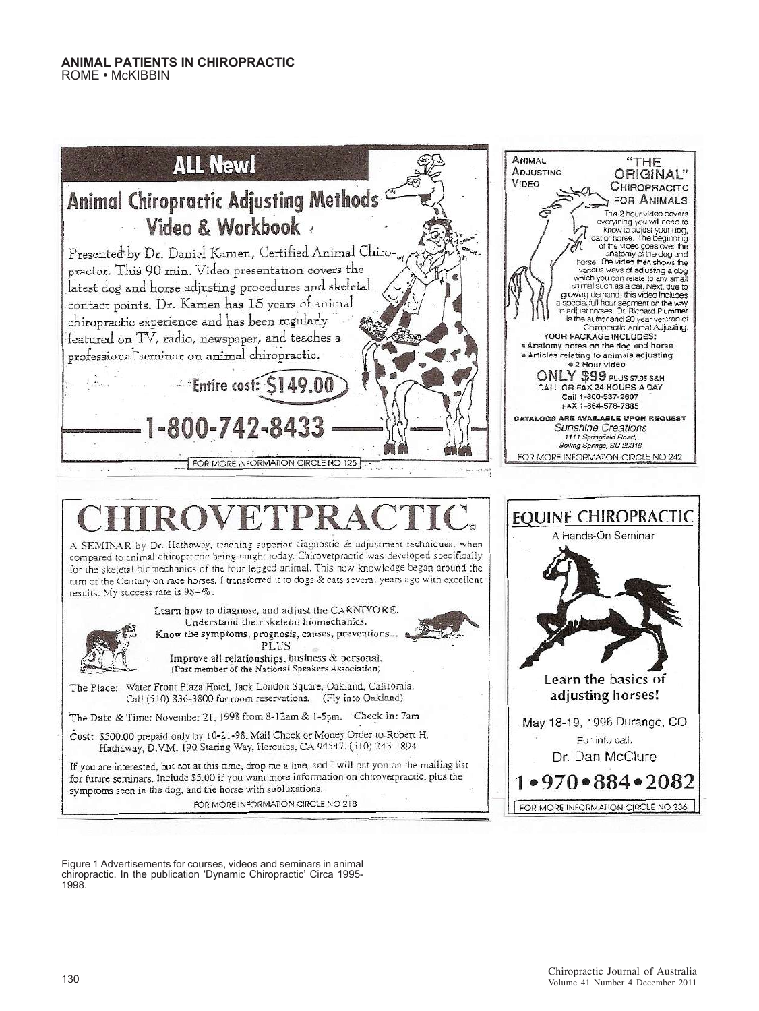

Figure 1 Advertisements for courses, videos and seminars in animal chiropractic. In the publication 'Dynamic Chiropractic' Circa 1995- 1998.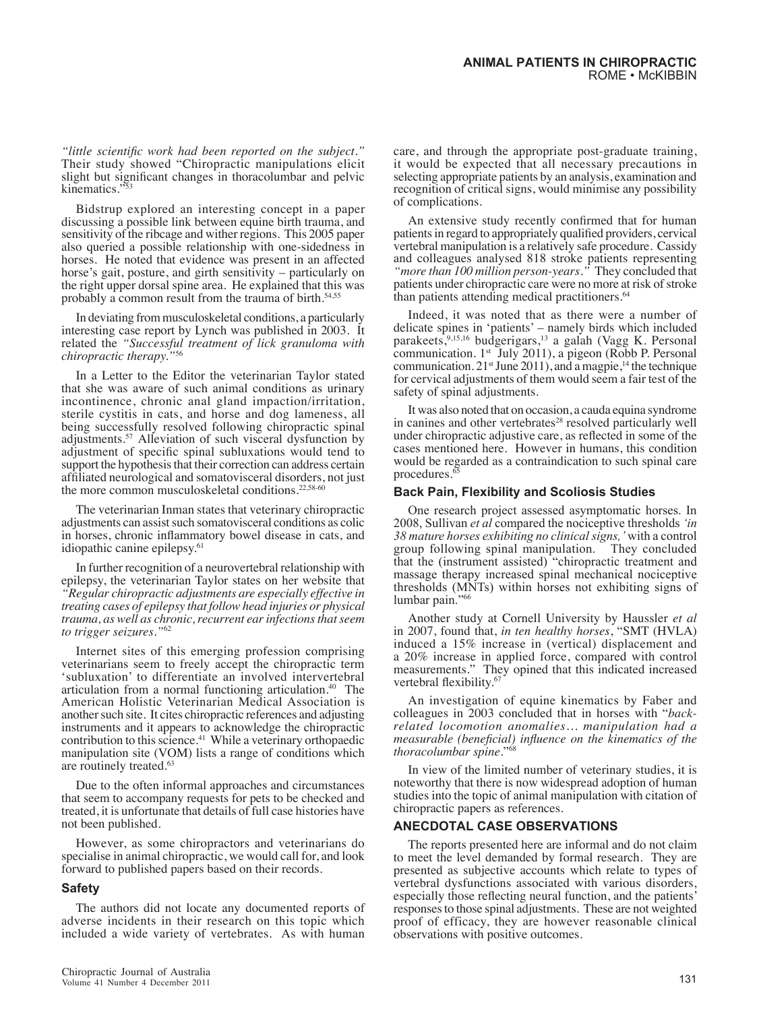*"little scientific work had been reported on the subject."* Their study showed "Chiropractic manipulations elicit slight but significant changes in thoracolumbar and pelvic kinematics."

Bidstrup explored an interesting concept in a paper discussing a possible link between equine birth trauma, and sensitivity of the ribcage and wither regions. This 2005 paper also queried a possible relationship with one-sidedness in horses. He noted that evidence was present in an affected horse's gait, posture, and girth sensitivity – particularly on the right upper dorsal spine area. He explained that this was probably a common result from the trauma of birth.<sup>54,55</sup>

In deviating from musculoskeletal conditions, a particularly interesting case report by Lynch was published in 2003. It related the *"Successful treatment of lick granuloma with chiropractic therapy."*<sup>56</sup>

In a Letter to the Editor the veterinarian Taylor stated that she was aware of such animal conditions as urinary incontinence, chronic anal gland impaction/irritation, sterile cystitis in cats, and horse and dog lameness, all being successfully resolved following chiropractic spinal adjustments.57 Alleviation of such visceral dysfunction by adjustment of specific spinal subluxations would tend to support the hypothesis that their correction can address certain affiliated neurological and somatovisceral disorders, not just the more common musculoskeletal conditions.<sup>22,58-60</sup>

The veterinarian Inman states that veterinary chiropractic adjustments can assist such somatovisceral conditions as colic in horses, chronic inflammatory bowel disease in cats, and idiopathic canine epilepsy.<sup>61</sup>

In further recognition of a neurovertebral relationship with epilepsy, the veterinarian Taylor states on her website that *"Regular chiropractic adjustments are especially effective in treating cases of epilepsy that follow head injuries or physical trauma, as well as chronic, recurrent ear infections that seem to trigger seizures."*<sup>62</sup>

Internet sites of this emerging profession comprising veterinarians seem to freely accept the chiropractic term 'subluxation' to differentiate an involved intervertebral articulation from a normal functioning articulation.40 The American Holistic Veterinarian Medical Association is another such site. It cites chiropractic references and adjusting instruments and it appears to acknowledge the chiropractic contribution to this science.<sup>41</sup> While a veterinary orthopaedic manipulation site (VOM) lists a range of conditions which are routinely treated.<sup>63</sup>

Due to the often informal approaches and circumstances that seem to accompany requests for pets to be checked and treated, it is unfortunate that details of full case histories have not been published.

However, as some chiropractors and veterinarians do specialise in animal chiropractic, we would call for, and look forward to published papers based on their records.

#### **Safety**

The authors did not locate any documented reports of adverse incidents in their research on this topic which included a wide variety of vertebrates. As with human care, and through the appropriate post-graduate training, it would be expected that all necessary precautions in selecting appropriate patients by an analysis, examination and recognition of critical signs, would minimise any possibility of complications.

An extensive study recently confirmed that for human patients in regard to appropriately qualified providers, cervical vertebral manipulation is a relatively safe procedure. Cassidy and colleagues analysed 818 stroke patients representing *"more than 100 million person-years."* They concluded that patients under chiropractic care were no more at risk of stroke than patients attending medical practitioners.<sup>64</sup>

Indeed, it was noted that as there were a number of delicate spines in 'patients' – namely birds which included parakeets,<sup>9,15,16</sup> budgerigars,<sup>13</sup> a galah (Vagg K. Personal communication. 1<sup>st</sup> July 2011), a pigeon (Robb P. Personal communication.  $21<sup>st</sup>$  June 2011), and a magpie,<sup>14</sup> the technique for cervical adjustments of them would seem a fair test of the safety of spinal adjustments.

It was also noted that on occasion, a cauda equina syndrome in canines and other vertebrates<sup>28</sup> resolved particularly well under chiropractic adjustive care, as reflected in some of the cases mentioned here. However in humans, this condition would be regarded as a contraindication to such spinal care procedures.<sup>65</sup>

#### **Back Pain, Flexibility and Scoliosis Studies**

One research project assessed asymptomatic horses. In 2008, Sullivan *et al* compared the nociceptive thresholds *'in 38 mature horses exhibiting no clinical signs,'* with a control group following spinal manipulation. They concluded that the (instrument assisted) "chiropractic treatment and massage therapy increased spinal mechanical nociceptive thresholds (MNTs) within horses not exhibiting signs of lumbar pain."66

Another study at Cornell University by Haussler *et al* in 2007, found that, *in ten healthy horses*, "SMT (HVLA) induced a 15% increase in (vertical) displacement and a 20% increase in applied force, compared with control measurements." They opined that this indicated increased vertebral flexibility.<sup>67</sup>

An investigation of equine kinematics by Faber and colleagues in 2003 concluded that in horses with "*backrelated locomotion anomalies… manipulation had a measurable (beneficial) influence on the kinematics of the thoracolumbar spine.*"68

In view of the limited number of veterinary studies, it is noteworthy that there is now widespread adoption of human studies into the topic of animal manipulation with citation of chiropractic papers as references.

#### **ANECDOTAL CASE OBSERVATIONS**

The reports presented here are informal and do not claim to meet the level demanded by formal research. They are presented as subjective accounts which relate to types of vertebral dysfunctions associated with various disorders, especially those reflecting neural function, and the patients' responses to those spinal adjustments. These are not weighted proof of efficacy, they are however reasonable clinical observations with positive outcomes.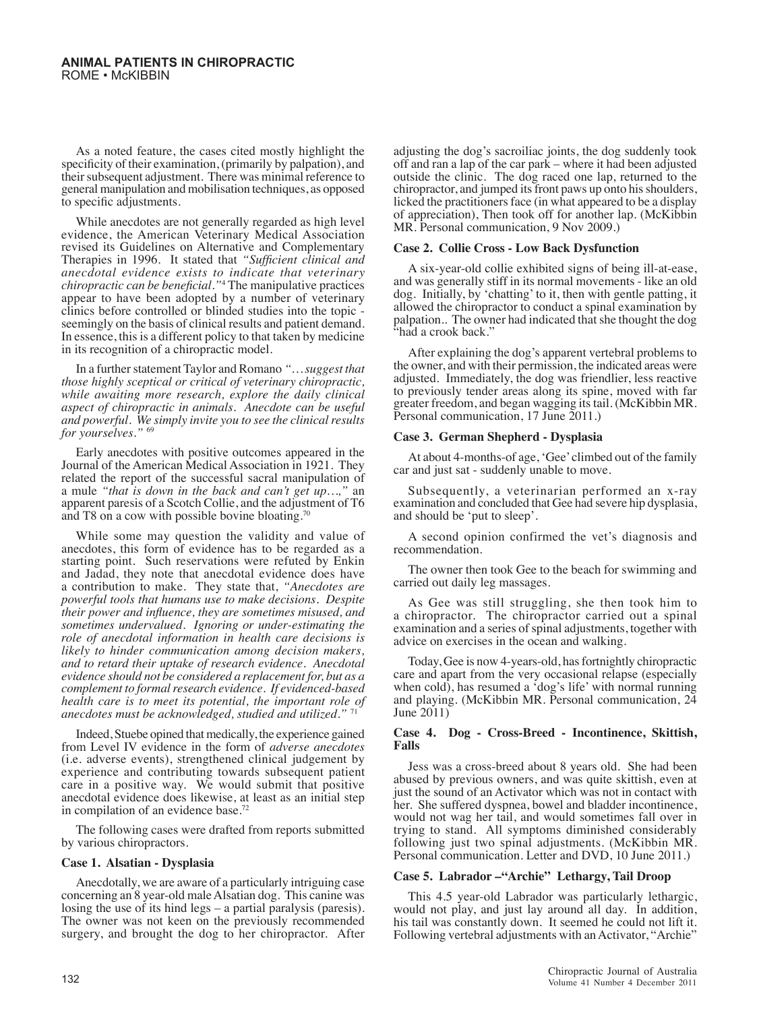As a noted feature, the cases cited mostly highlight the specificity of their examination, (primarily by palpation), and their subsequent adjustment. There was minimal reference to general manipulation and mobilisation techniques, as opposed to specific adjustments.

While anecdotes are not generally regarded as high level evidence, the American Veterinary Medical Association revised its Guidelines on Alternative and Complementary Therapies in 1996. It stated that *"Sufficient clinical and anecdotal evidence exists to indicate that veterinary chiropractic can be beneficial."*<sup>4</sup> The manipulative practices appear to have been adopted by a number of veterinary clinics before controlled or blinded studies into the topic seemingly on the basis of clinical results and patient demand. In essence, this is a different policy to that taken by medicine in its recognition of a chiropractic model.

In a further statement Taylor and Romano *"… suggest that those highly sceptical or critical of veterinary chiropractic, while awaiting more research, explore the daily clinical aspect of chiropractic in animals. Anecdote can be useful and powerful. We simply invite you to see the clinical results for yourselves."* <sup>69</sup>

Early anecdotes with positive outcomes appeared in the Journal of the American Medical Association in 1921. They related the report of the successful sacral manipulation of a mule *"that is down in the back and can't get up…,"* an apparent paresis of a Scotch Collie, and the adjustment of T6 and T8 on a cow with possible bovine bloating.70

While some may question the validity and value of anecdotes, this form of evidence has to be regarded as a starting point. Such reservations were refuted by Enkin and Jadad, they note that anecdotal evidence does have a contribution to make. They state that, *"Anecdotes are powerful tools that humans use to make decisions. Despite their power and influence, they are sometimes misused, and sometimes undervalued. Ignoring or under-estimating the role of anecdotal information in health care decisions is likely to hinder communication among decision makers, and to retard their uptake of research evidence. Anecdotal evidence should not be considered a replacement for, but as a complement to formal research evidence. If evidenced-based health care is to meet its potential, the important role of anecdotes must be acknowledged, studied and utilized."* <sup>71</sup>

Indeed, Stuebe opined that medically, the experience gained from Level IV evidence in the form of *adverse anecdotes* (i.e. adverse events), strengthened clinical judgement by experience and contributing towards subsequent patient care in a positive way. We would submit that positive anecdotal evidence does likewise, at least as an initial step in compilation of an evidence base.72

The following cases were drafted from reports submitted by various chiropractors.

#### **Case 1. Alsatian - Dysplasia**

Anecdotally, we are aware of a particularly intriguing case concerning an 8 year-old male Alsatian dog. This canine was losing the use of its hind legs – a partial paralysis (paresis). The owner was not keen on the previously recommended surgery, and brought the dog to her chiropractor. After adjusting the dog's sacroiliac joints, the dog suddenly took off and ran a lap of the car park – where it had been adjusted outside the clinic. The dog raced one lap, returned to the chiropractor, and jumped its front paws up onto his shoulders, licked the practitioners face (in what appeared to be a display of appreciation), Then took off for another lap. (McKibbin MR. Personal communication, 9 Nov 2009.)

#### **Case 2. Collie Cross - Low Back Dysfunction**

A six-year-old collie exhibited signs of being ill-at-ease, and was generally stiff in its normal movements - like an old dog. Initially, by 'chatting' to it, then with gentle patting, it allowed the chiropractor to conduct a spinal examination by palpation.. The owner had indicated that she thought the dog "had a crook back."

After explaining the dog's apparent vertebral problems to the owner, and with their permission, the indicated areas were adjusted. Immediately, the dog was friendlier, less reactive to previously tender areas along its spine, moved with far greater freedom, and began wagging its tail. (McKibbin MR. Personal communication, 17 June 2011.)

#### **Case 3. German Shepherd - Dysplasia**

At about 4-months-of age, 'Gee' climbed out of the family car and just sat - suddenly unable to move.

Subsequently, a veterinarian performed an x-ray examination and concluded that Gee had severe hip dysplasia, and should be 'put to sleep'.

A second opinion confirmed the vet's diagnosis and recommendation.

The owner then took Gee to the beach for swimming and carried out daily leg massages.

As Gee was still struggling, she then took him to a chiropractor. The chiropractor carried out a spinal examination and a series of spinal adjustments, together with advice on exercises in the ocean and walking.

Today, Gee is now 4-years-old, has fortnightly chiropractic care and apart from the very occasional relapse (especially when cold), has resumed a 'dog's life' with normal running and playing. (McKibbin MR. Personal communication, 24 June 2011)

#### **Case 4. Dog - Cross-Breed - Incontinence, Skittish, Falls**

Jess was a cross-breed about 8 years old. She had been abused by previous owners, and was quite skittish, even at just the sound of an Activator which was not in contact with her. She suffered dyspnea, bowel and bladder incontinence, would not wag her tail, and would sometimes fall over in trying to stand. All symptoms diminished considerably following just two spinal adjustments. (McKibbin MR. Personal communication. Letter and DVD, 10 June 2011.)

#### **Case 5. Labrador –"Archie" Lethargy, Tail Droop**

This 4.5 year-old Labrador was particularly lethargic, would not play, and just lay around all day. In addition, his tail was constantly down. It seemed he could not lift it. Following vertebral adjustments with an Activator, "Archie"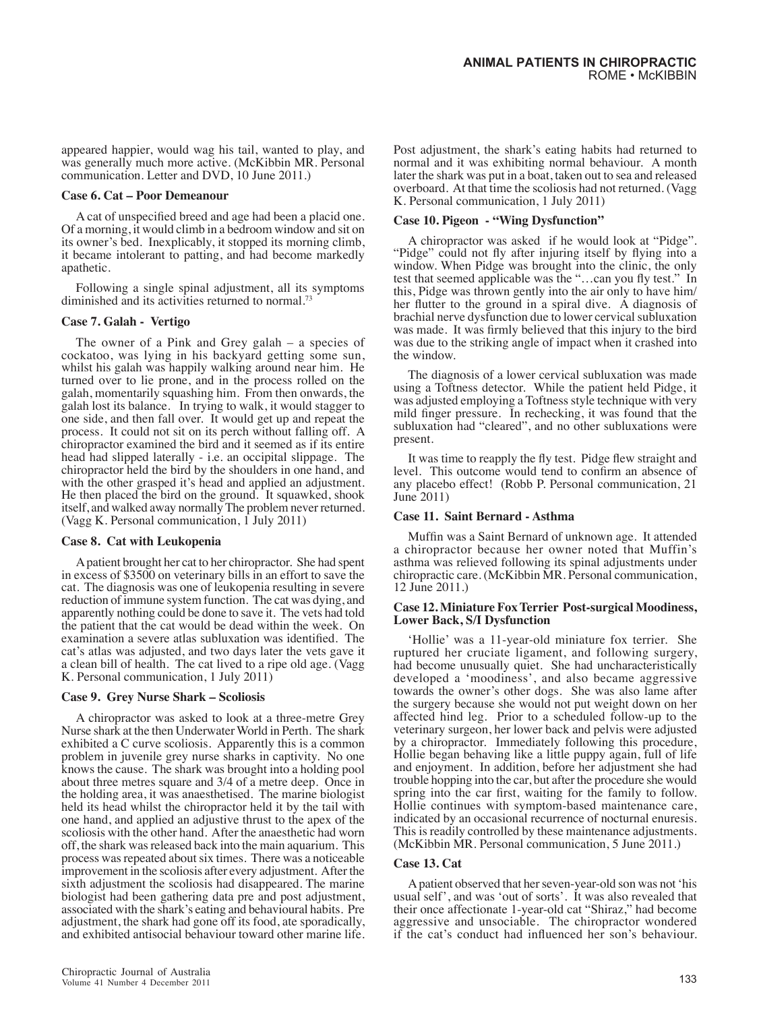appeared happier, would wag his tail, wanted to play, and was generally much more active. (McKibbin MR. Personal communication. Letter and DVD, 10 June 2011.)

#### **Case 6. Cat – Poor Demeanour**

A cat of unspecified breed and age had been a placid one. Of a morning, it would climb in a bedroom window and sit on its owner's bed. Inexplicably, it stopped its morning climb, it became intolerant to patting, and had become markedly apathetic.

Following a single spinal adjustment, all its symptoms diminished and its activities returned to normal.<sup>73</sup>

#### **Case 7. Galah - Vertigo**

The owner of a Pink and Grey galah – a species of cockatoo, was lying in his backyard getting some sun, whilst his galah was happily walking around near him. He turned over to lie prone, and in the process rolled on the galah, momentarily squashing him. From then onwards, the galah lost its balance. In trying to walk, it would stagger to one side, and then fall over. It would get up and repeat the process. It could not sit on its perch without falling off. A chiropractor examined the bird and it seemed as if its entire head had slipped laterally - i.e. an occipital slippage. The chiropractor held the bird by the shoulders in one hand, and with the other grasped it's head and applied an adjustment. He then placed the bird on the ground. It squawked, shook itself, and walked away normally The problem never returned. (Vagg K. Personal communication, 1 July 2011)

#### **Case 8. Cat with Leukopenia**

A patient brought her cat to her chiropractor. She had spent in excess of \$3500 on veterinary bills in an effort to save the cat. The diagnosis was one of leukopenia resulting in severe reduction of immune system function. The cat was dying, and apparently nothing could be done to save it. The vets had told the patient that the cat would be dead within the week. On examination a severe atlas subluxation was identified. The cat's atlas was adjusted, and two days later the vets gave it a clean bill of health. The cat lived to a ripe old age. (Vagg K. Personal communication, 1 July 2011)

#### **Case 9. Grey Nurse Shark – Scoliosis**

A chiropractor was asked to look at a three-metre Grey Nurse shark at the then Underwater World in Perth. The shark exhibited a C curve scoliosis. Apparently this is a common problem in juvenile grey nurse sharks in captivity. No one knows the cause. The shark was brought into a holding pool about three metres square and 3/4 of a metre deep. Once in the holding area, it was anaesthetised. The marine biologist held its head whilst the chiropractor held it by the tail with one hand, and applied an adjustive thrust to the apex of the scoliosis with the other hand. After the anaesthetic had worn off, the shark was released back into the main aquarium. This process was repeated about six times. There was a noticeable improvement in the scoliosis after every adjustment. After the sixth adjustment the scoliosis had disappeared. The marine biologist had been gathering data pre and post adjustment, associated with the shark's eating and behavioural habits. Pre adjustment, the shark had gone off its food, ate sporadically, and exhibited antisocial behaviour toward other marine life. Post adjustment, the shark's eating habits had returned to normal and it was exhibiting normal behaviour. A month later the shark was put in a boat, taken out to sea and released overboard. At that time the scoliosis had not returned. (Vagg K. Personal communication, 1 July 2011)

#### **Case 10. Pigeon - "Wing Dysfunction"**

A chiropractor was asked if he would look at "Pidge". "Pidge" could not fly after injuring itself by flying into a window. When Pidge was brought into the clinic, the only test that seemed applicable was the "…can you fly test." In this, Pidge was thrown gently into the air only to have him/ her flutter to the ground in a spiral dive. A diagnosis of brachial nerve dysfunction due to lower cervical subluxation was made. It was firmly believed that this injury to the bird was due to the striking angle of impact when it crashed into the window.

The diagnosis of a lower cervical subluxation was made using a Toftness detector. While the patient held Pidge, it was adjusted employing a Toftness style technique with very mild finger pressure. In rechecking, it was found that the subluxation had "cleared", and no other subluxations were present.

It was time to reapply the fly test. Pidge flew straight and level. This outcome would tend to confirm an absence of any placebo effect! (Robb P. Personal communication, 21 June 2011)

#### **Case 11. Saint Bernard - Asthma**

Muffin was a Saint Bernard of unknown age. It attended a chiropractor because her owner noted that Muffin's asthma was relieved following its spinal adjustments under chiropractic care. (McKibbin MR. Personal communication, 12 June 2011.)

#### **Case 12. Miniature Fox Terrier Post-surgical Moodiness, Lower Back, S/I Dysfunction**

'Hollie' was a 11-year-old miniature fox terrier. She ruptured her cruciate ligament, and following surgery, had become unusually quiet. She had uncharacteristically developed a 'moodiness', and also became aggressive towards the owner's other dogs. She was also lame after the surgery because she would not put weight down on her affected hind leg. Prior to a scheduled follow-up to the veterinary surgeon, her lower back and pelvis were adjusted by a chiropractor. Immediately following this procedure, Hollie began behaving like a little puppy again, full of life and enjoyment. In addition, before her adjustment she had trouble hopping into the car, but after the procedure she would spring into the car first, waiting for the family to follow. Hollie continues with symptom-based maintenance care, indicated by an occasional recurrence of nocturnal enuresis. This is readily controlled by these maintenance adjustments. (McKibbin MR. Personal communication, 5 June 2011.)

#### **Case 13. Cat**

A patient observed that her seven-year-old son was not 'his usual self', and was 'out of sorts'. It was also revealed that their once affectionate 1-year-old cat "Shiraz," had become aggressive and unsociable. The chiropractor wondered if the cat's conduct had influenced her son's behaviour.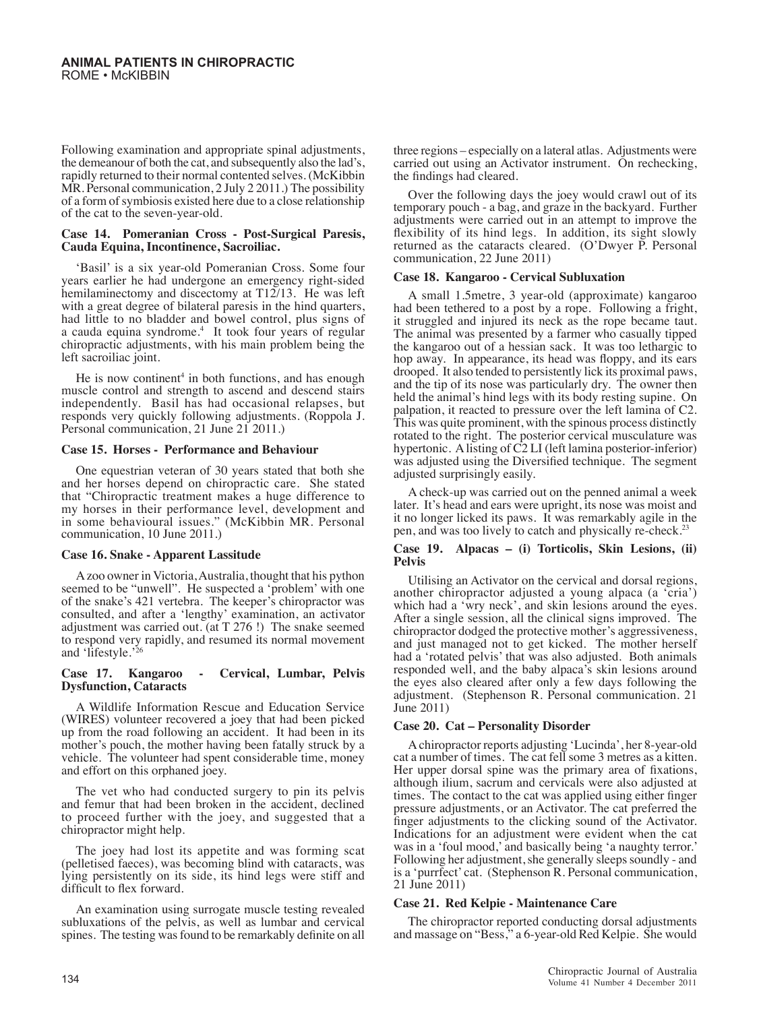Following examination and appropriate spinal adjustments, the demeanour of both the cat, and subsequently also the lad's, rapidly returned to their normal contented selves. (McKibbin MR. Personal communication, 2 July 2 2011.) The possibility of a form of symbiosis existed here due to a close relationship of the cat to the seven-year-old.

#### **Case 14. Pomeranian Cross - Post-Surgical Paresis, Cauda Equina, Incontinence, Sacroiliac.**

'Basil' is a six year-old Pomeranian Cross. Some four years earlier he had undergone an emergency right-sided hemilaminectomy and discectomy at T12/13. He was left with a great degree of bilateral paresis in the hind quarters, had little to no bladder and bowel control, plus signs of a cauda equina syndrome.4 It took four years of regular chiropractic adjustments, with his main problem being the left sacroiliac joint.

He is now continent<sup>4</sup> in both functions, and has enough muscle control and strength to ascend and descend stairs independently. Basil has had occasional relapses, but responds very quickly following adjustments. (Roppola J. Personal communication, 21 June 21 2011.)

#### **Case 15. Horses - Performance and Behaviour**

One equestrian veteran of 30 years stated that both she and her horses depend on chiropractic care. She stated that "Chiropractic treatment makes a huge difference to my horses in their performance level, development and in some behavioural issues." (McKibbin MR. Personal communication, 10 June 2011.)

#### **Case 16. Snake - Apparent Lassitude**

A zoo owner in Victoria, Australia, thought that his python seemed to be "unwell". He suspected a 'problem' with one of the snake's 421 vertebra. The keeper's chiropractor was consulted, and after a 'lengthy' examination, an activator adjustment was carried out. (at T 276 !) The snake seemed to respond very rapidly, and resumed its normal movement and 'lifestyle.'

#### **Case 17. Kangaroo - Cervical, Lumbar, Pelvis Dysfunction, Cataracts**

A Wildlife Information Rescue and Education Service (WIRES) volunteer recovered a joey that had been picked up from the road following an accident. It had been in its mother's pouch, the mother having been fatally struck by a vehicle. The volunteer had spent considerable time, money and effort on this orphaned joey.

The vet who had conducted surgery to pin its pelvis and femur that had been broken in the accident, declined to proceed further with the joey, and suggested that a chiropractor might help.

The joey had lost its appetite and was forming scat (pelletised faeces), was becoming blind with cataracts, was lying persistently on its side, its hind legs were stiff and difficult to flex forward.

An examination using surrogate muscle testing revealed subluxations of the pelvis, as well as lumbar and cervical spines. The testing was found to be remarkably definite on all

three regions – especially on a lateral atlas. Adjustments were carried out using an Activator instrument. On rechecking, the findings had cleared.

Over the following days the joey would crawl out of its temporary pouch - a bag, and graze in the backyard. Further adjustments were carried out in an attempt to improve the flexibility of its hind legs. In addition, its sight slowly returned as the cataracts cleared. (O'Dwyer P. Personal communication, 22 June 2011)

#### **Case 18. Kangaroo - Cervical Subluxation**

A small 1.5metre, 3 year-old (approximate) kangaroo had been tethered to a post by a rope. Following a fright, it struggled and injured its neck as the rope became taut. The animal was presented by a farmer who casually tipped the kangaroo out of a hessian sack. It was too lethargic to hop away. In appearance, its head was floppy, and its ears drooped. It also tended to persistently lick its proximal paws, and the tip of its nose was particularly dry. The owner then held the animal's hind legs with its body resting supine. On palpation, it reacted to pressure over the left lamina of C2. This was quite prominent, with the spinous process distinctly rotated to the right. The posterior cervical musculature was hypertonic. A listing of C2 LI (left lamina posterior-inferior) was adjusted using the Diversified technique. The segment adjusted surprisingly easily.

A check-up was carried out on the penned animal a week later. It's head and ears were upright, its nose was moist and it no longer licked its paws. It was remarkably agile in the pen, and was too lively to catch and physically re-check.23

#### **Case 19. Alpacas – (i) Torticolis, Skin Lesions, (ii) Pelvis**

Utilising an Activator on the cervical and dorsal regions, another chiropractor adjusted a young alpaca (a 'cria') which had a 'wry neck', and skin lesions around the eyes. After a single session, all the clinical signs improved. The chiropractor dodged the protective mother's aggressiveness, and just managed not to get kicked. The mother herself had a 'rotated pelvis' that was also adjusted. Both animals responded well, and the baby alpaca's skin lesions around the eyes also cleared after only a few days following the adjustment. (Stephenson R. Personal communication. 21 June 2011)

#### **Case 20. Cat – Personality Disorder**

A chiropractor reports adjusting 'Lucinda', her 8-year-old cat a number of times. The cat fell some 3 metres as a kitten. Her upper dorsal spine was the primary area of fixations, although ilium, sacrum and cervicals were also adjusted at times. The contact to the cat was applied using either finger pressure adjustments, or an Activator. The cat preferred the finger adjustments to the clicking sound of the Activator. Indications for an adjustment were evident when the cat was in a 'foul mood,' and basically being 'a naughty terror.' Following her adjustment, she generally sleeps soundly - and is a 'purrfect' cat. (Stephenson R. Personal communication, 21 June 2011)

#### **Case 21. Red Kelpie - Maintenance Care**

The chiropractor reported conducting dorsal adjustments and massage on "Bess," a 6-year-old Red Kelpie. She would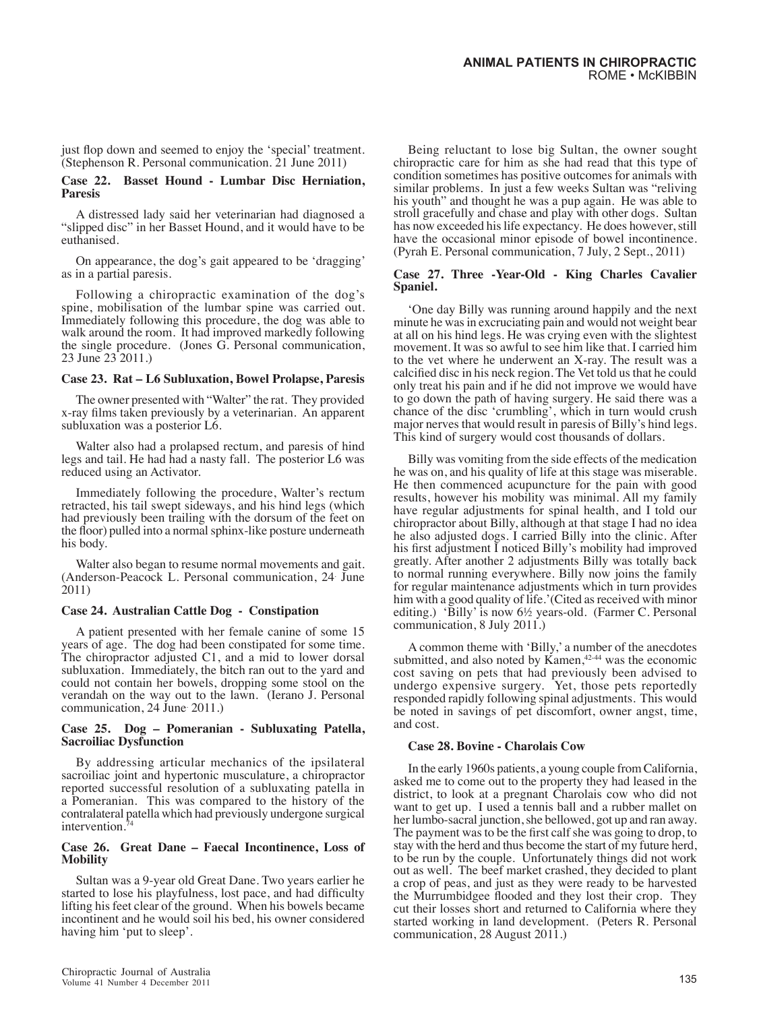just flop down and seemed to enjoy the 'special' treatment. (Stephenson R. Personal communication. 21 June 2011)

#### **Case 22. Basset Hound - Lumbar Disc Herniation, Paresis**

A distressed lady said her veterinarian had diagnosed a "slipped disc" in her Basset Hound, and it would have to be euthanised.

On appearance, the dog's gait appeared to be 'dragging' as in a partial paresis.

Following a chiropractic examination of the dog's spine, mobilisation of the lumbar spine was carried out. Immediately following this procedure, the dog was able to walk around the room. It had improved markedly following the single procedure. (Jones G. Personal communication, 23 June 23 2011.)

#### **Case 23. Rat – L6 Subluxation, Bowel Prolapse, Paresis**

The owner presented with "Walter" the rat. They provided x-ray films taken previously by a veterinarian. An apparent subluxation was a posterior L6.

Walter also had a prolapsed rectum, and paresis of hind legs and tail. He had had a nasty fall. The posterior L6 was reduced using an Activator.

Immediately following the procedure, Walter's rectum retracted, his tail swept sideways, and his hind legs (which had previously been trailing with the dorsum of the feet on the floor) pulled into a normal sphinx-like posture underneath his body.

Walter also began to resume normal movements and gait. (Anderson-Peacock L. Personal communication, 24. June 2011)

#### **Case 24. Australian Cattle Dog - Constipation**

A patient presented with her female canine of some 15 years of age. The dog had been constipated for some time. The chiropractor adjusted C1, and a mid to lower dorsal subluxation. Immediately, the bitch ran out to the yard and could not contain her bowels, dropping some stool on the verandah on the way out to the lawn. (Ierano J. Personal communication, 24 June. 2011.)

#### **Case 25. Dog – Pomeranian - Subluxating Patella, Sacroiliac Dysfunction**

By addressing articular mechanics of the ipsilateral sacroiliac joint and hypertonic musculature, a chiropractor reported successful resolution of a subluxating patella in a Pomeranian. This was compared to the history of the contralateral patella which had previously undergone surgical intervention.

#### **Case 26. Great Dane – Faecal Incontinence, Loss of Mobility**

Sultan was a 9-year old Great Dane. Two years earlier he started to lose his playfulness, lost pace, and had difficulty lifting his feet clear of the ground. When his bowels became incontinent and he would soil his bed, his owner considered having him 'put to sleep'.

Being reluctant to lose big Sultan, the owner sought chiropractic care for him as she had read that this type of condition sometimes has positive outcomes for animals with similar problems. In just a few weeks Sultan was "reliving his youth" and thought he was a pup again. He was able to stroll gracefully and chase and play with other dogs. Sultan has now exceeded his life expectancy. He does however, still have the occasional minor episode of bowel incontinence. (Pyrah E. Personal communication, 7 July, 2 Sept., 2011)

#### **Case 27. Three -Year-Old - King Charles Cavalier Spaniel.**

'One day Billy was running around happily and the next minute he was in excruciating pain and would not weight bear at all on his hind legs. He was crying even with the slightest movement. It was so awful to see him like that. I carried him to the vet where he underwent an X-ray. The result was a calcified disc in his neck region. The Vet told us that he could only treat his pain and if he did not improve we would have to go down the path of having surgery. He said there was a chance of the disc 'crumbling', which in turn would crush major nerves that would result in paresis of Billy's hind legs. This kind of surgery would cost thousands of dollars.

Billy was vomiting from the side effects of the medication he was on, and his quality of life at this stage was miserable. He then commenced acupuncture for the pain with good results, however his mobility was minimal. All my family have regular adjustments for spinal health, and I told our chiropractor about Billy, although at that stage I had no idea he also adjusted dogs. I carried Billy into the clinic. After his first adjustment I noticed Billy's mobility had improved greatly. After another 2 adjustments Billy was totally back to normal running everywhere. Billy now joins the family for regular maintenance adjustments which in turn provides him with a good quality of life.'(Cited as received with minor editing.) 'Billy' is now 6½ years-old. (Farmer C. Personal communication, 8 July 2011.)

A common theme with 'Billy,' a number of the anecdotes submitted, and also noted by  $\check{K}$ amen,<sup>42-44</sup> was the economic cost saving on pets that had previously been advised to undergo expensive surgery. Yet, those pets reportedly responded rapidly following spinal adjustments. This would be noted in savings of pet discomfort, owner angst, time, and cost.

#### **Case 28. Bovine - Charolais Cow**

In the early 1960s patients, a young couple from California, asked me to come out to the property they had leased in the district, to look at a pregnant Charolais cow who did not want to get up. I used a tennis ball and a rubber mallet on her lumbo-sacral junction, she bellowed, got up and ran away. The payment was to be the first calf she was going to drop, to stay with the herd and thus become the start of my future herd, to be run by the couple. Unfortunately things did not work out as well. The beef market crashed, they decided to plant a crop of peas, and just as they were ready to be harvested the Murrumbidgee flooded and they lost their crop. They cut their losses short and returned to California where they started working in land development. (Peters R. Personal communication, 28 August 2011.)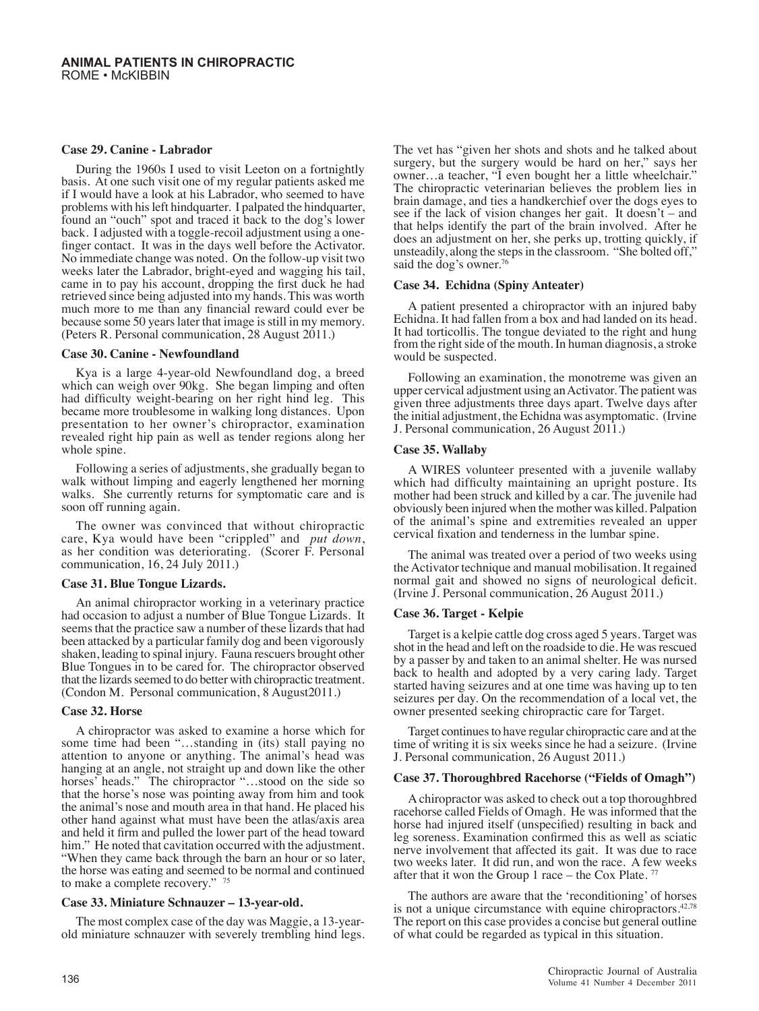#### **Case 29. Canine - Labrador**

During the 1960s I used to visit Leeton on a fortnightly basis. At one such visit one of my regular patients asked me if I would have a look at his Labrador, who seemed to have problems with his left hindquarter. I palpated the hindquarter, found an "ouch" spot and traced it back to the dog's lower back. I adjusted with a toggle-recoil adjustment using a onefinger contact. It was in the days well before the Activator. No immediate change was noted. On the follow-up visit two weeks later the Labrador, bright-eyed and wagging his tail, came in to pay his account, dropping the first duck he had retrieved since being adjusted into my hands. This was worth much more to me than any financial reward could ever be because some 50 years later that image is still in my memory. (Peters R. Personal communication, 28 August 2011.)

#### **Case 30. Canine - Newfoundland**

Kya is a large 4-year-old Newfoundland dog, a breed which can weigh over 90kg. She began limping and often had difficulty weight-bearing on her right hind leg. This became more troublesome in walking long distances. Upon presentation to her owner's chiropractor, examination revealed right hip pain as well as tender regions along her whole spine.

Following a series of adjustments, she gradually began to walk without limping and eagerly lengthened her morning walks. She currently returns for symptomatic care and is soon off running again.

The owner was convinced that without chiropractic care, Kya would have been "crippled" and *put down*, as her condition was deteriorating. (Scorer F. Personal communication, 16, 24 July 2011.)

#### **Case 31. Blue Tongue Lizards.**

An animal chiropractor working in a veterinary practice had occasion to adjust a number of Blue Tongue Lizards. It seems that the practice saw a number of these lizards that had been attacked by a particular family dog and been vigorously shaken, leading to spinal injury. Fauna rescuers brought other Blue Tongues in to be cared for. The chiropractor observed that the lizards seemed to do better with chiropractic treatment. (Condon M. Personal communication, 8 August2011.)

#### **Case 32. Horse**

A chiropractor was asked to examine a horse which for some time had been "…standing in (its) stall paying no attention to anyone or anything. The animal's head was hanging at an angle, not straight up and down like the other horses' heads." The chiropractor "…stood on the side so that the horse's nose was pointing away from him and took the animal's nose and mouth area in that hand. He placed his other hand against what must have been the atlas/axis area and held it firm and pulled the lower part of the head toward him." He noted that cavitation occurred with the adjustment. "When they came back through the barn an hour or so later, the horse was eating and seemed to be normal and continued to make a complete recovery." 75

#### **Case 33. Miniature Schnauzer – 13-year-old.**

The most complex case of the day was Maggie, a 13-yearold miniature schnauzer with severely trembling hind legs. The vet has "given her shots and shots and he talked about surgery, but the surgery would be hard on her," says her owner…a teacher, "I even bought her a little wheelchair." The chiropractic veterinarian believes the problem lies in brain damage, and ties a handkerchief over the dogs eyes to see if the lack of vision changes her gait. It doesn't – and that helps identify the part of the brain involved. After he does an adjustment on her, she perks up, trotting quickly, if unsteadily, along the steps in the classroom. "She bolted off," said the dog's owner.<sup>76</sup>

#### **Case 34. Echidna (Spiny Anteater)**

A patient presented a chiropractor with an injured baby Echidna. It had fallen from a box and had landed on its head. It had torticollis. The tongue deviated to the right and hung from the right side of the mouth. In human diagnosis, a stroke would be suspected.

Following an examination, the monotreme was given an upper cervical adjustment using an Activator. The patient was given three adjustments three days apart. Twelve days after the initial adjustment, the Echidna was asymptomatic. (Irvine J. Personal communication, 26 August 2011.)

#### **Case 35. Wallaby**

A WIRES volunteer presented with a juvenile wallaby which had difficulty maintaining an upright posture. Its mother had been struck and killed by a car. The juvenile had obviously been injured when the mother was killed. Palpation of the animal's spine and extremities revealed an upper cervical fixation and tenderness in the lumbar spine.

The animal was treated over a period of two weeks using the Activator technique and manual mobilisation. It regained normal gait and showed no signs of neurological deficit. (Irvine J. Personal communication, 26 August 2011.)

#### **Case 36. Target - Kelpie**

Target is a kelpie cattle dog cross aged 5 years. Target was shot in the head and left on the roadside to die. He was rescued by a passer by and taken to an animal shelter. He was nursed back to health and adopted by a very caring lady. Target started having seizures and at one time was having up to ten seizures per day. On the recommendation of a local vet, the owner presented seeking chiropractic care for Target.

Target continues to have regular chiropractic care and at the time of writing it is six weeks since he had a seizure. (Irvine J. Personal communication, 26 August 2011.)

#### **Case 37. Thoroughbred Racehorse ("Fields of Omagh")**

A chiropractor was asked to check out a top thoroughbred racehorse called Fields of Omagh. He was informed that the horse had injured itself (unspecified) resulting in back and leg soreness. Examination confirmed this as well as sciatic nerve involvement that affected its gait. It was due to race two weeks later. It did run, and won the race. A few weeks after that it won the Group 1 race – the Cox Plate.  $\frac{77}{2}$ 

The authors are aware that the 'reconditioning' of horses is not a unique circumstance with equine chiropractors.<sup>42,78</sup> The report on this case provides a concise but general outline of what could be regarded as typical in this situation.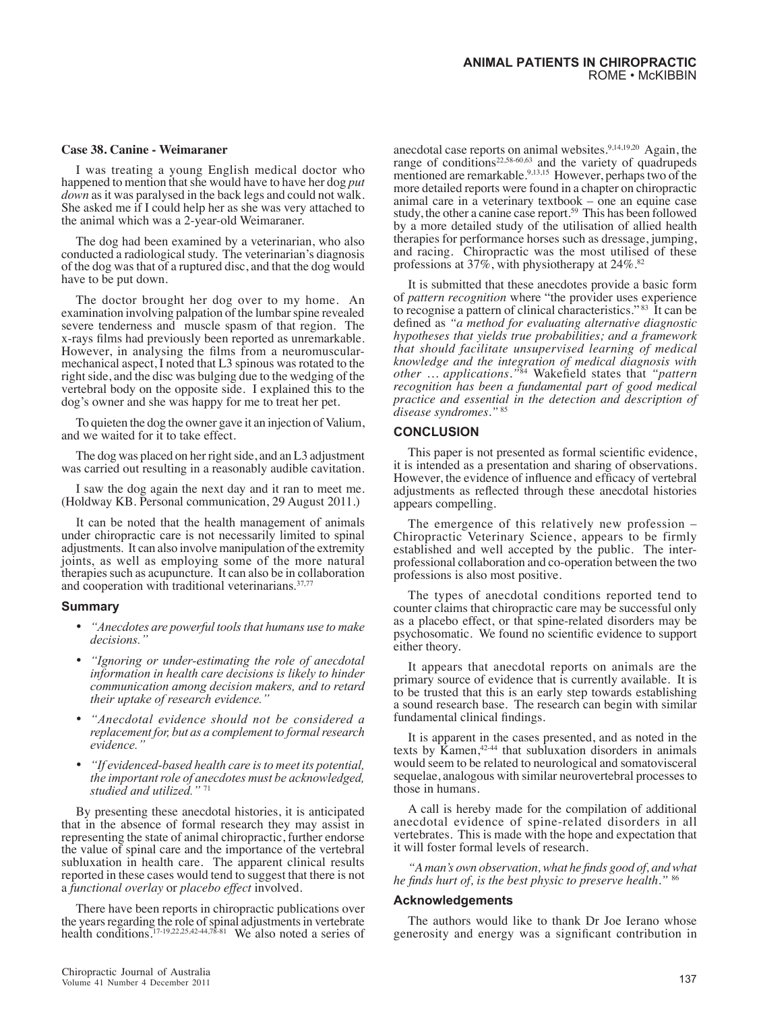### **Case 38. Canine - Weimaraner**

I was treating a young English medical doctor who happened to mention that she would have to have her dog *put down* as it was paralysed in the back legs and could not walk. She asked me if I could help her as she was very attached to the animal which was a 2-year-old Weimaraner.

The dog had been examined by a veterinarian, who also conducted a radiological study. The veterinarian's diagnosis of the dog was that of a ruptured disc, and that the dog would have to be put down.

The doctor brought her dog over to my home. An examination involving palpation of the lumbar spine revealed severe tenderness and muscle spasm of that region. The x-rays films had previously been reported as unremarkable. However, in analysing the films from a neuromuscularmechanical aspect, I noted that L3 spinous was rotated to the right side, and the disc was bulging due to the wedging of the vertebral body on the opposite side. I explained this to the dog's owner and she was happy for me to treat her pet.

To quieten the dog the owner gave it an injection of Valium, and we waited for it to take effect.

The dog was placed on her right side, and an L3 adjustment was carried out resulting in a reasonably audible cavitation.

I saw the dog again the next day and it ran to meet me. (Holdway KB. Personal communication, 29 August 2011.)

It can be noted that the health management of animals under chiropractic care is not necessarily limited to spinal adjustments. It can also involve manipulation of the extremity joints, as well as employing some of the more natural therapies such as acupuncture. It can also be in collaboration and cooperation with traditional veterinarians.<sup>37,77</sup>

#### **Summary**

- • *"Anecdotes are powerful tools that humans use to make decisions."*
- • *"Ignoring or under-estimating the role of anecdotal information in health care decisions is likely to hinder communication among decision makers, and to retard their uptake of research evidence."*
- • *"Anecdotal evidence should not be considered a replacement for, but as a complement to formal research evidence."*
- • *"If evidenced-based health care is to meet its potential, the important role of anecdotes must be acknowledged, studied and utilized."* <sup>71</sup>

By presenting these anecdotal histories, it is anticipated that in the absence of formal research they may assist in representing the state of animal chiropractic, further endorse the value of spinal care and the importance of the vertebral subluxation in health care. The apparent clinical results reported in these cases would tend to suggest that there is not a *functional overlay* or *placebo effect* involved.

There have been reports in chiropractic publications over the years regarding the role of spinal adjustments in vertebrate health conditions.<sup>17-19,22,25,42-44,78-81</sup> We also noted a series of anecdotal case reports on animal websites.9,14,19,20 Again, the range of conditions<sup>22,58-60,63</sup> and the variety of quadrupeds mentioned are remarkable.<sup>9,13,15</sup> However, perhaps two of the more detailed reports were found in a chapter on chiropractic animal care in a veterinary textbook – one an equine case study, the other a canine case report.<sup>59</sup> This has been followed by a more detailed study of the utilisation of allied health therapies for performance horses such as dressage, jumping, and racing. Chiropractic was the most utilised of these professions at 37%, with physiotherapy at 24%.<sup>82</sup>

It is submitted that these anecdotes provide a basic form of *pattern recognition* where "the provider uses experience to recognise a pattern of clinical characteristics." 83 It can be defined as *"a method for evaluating alternative diagnostic hypotheses that yields true probabilities; and a framework that should facilitate unsupervised learning of medical knowledge and the integration of medical diagnosis with other … applications."*<sup>84</sup>Wakefield states that *"pattern recognition has been a fundamental part of good medical practice and essential in the detection and description of disease syndromes."*<sup>85</sup>

#### **CONCLUSION**

This paper is not presented as formal scientific evidence, it is intended as a presentation and sharing of observations. However, the evidence of influence and efficacy of vertebral adjustments as reflected through these anecdotal histories appears compelling.

The emergence of this relatively new profession – Chiropractic Veterinary Science, appears to be firmly established and well accepted by the public. The interprofessional collaboration and co-operation between the two professions is also most positive.

The types of anecdotal conditions reported tend to counter claims that chiropractic care may be successful only as a placebo effect, or that spine-related disorders may be psychosomatic. We found no scientific evidence to support either theory.

It appears that anecdotal reports on animals are the primary source of evidence that is currently available. It is to be trusted that this is an early step towards establishing a sound research base. The research can begin with similar fundamental clinical findings.

It is apparent in the cases presented, and as noted in the texts by  $\overleftrightarrow{K}$ amen,<sup>42-44</sup> that subluxation disorders in animals would seem to be related to neurological and somatovisceral sequelae, analogous with similar neurovertebral processes to those in humans.

A call is hereby made for the compilation of additional anecdotal evidence of spine-related disorders in all vertebrates. This is made with the hope and expectation that it will foster formal levels of research.

*"A man's own observation, what he finds good of, and what he finds hurt of, is the best physic to preserve health."* <sup>86</sup>

#### **Acknowledgements**

The authors would like to thank Dr Joe Ierano whose generosity and energy was a significant contribution in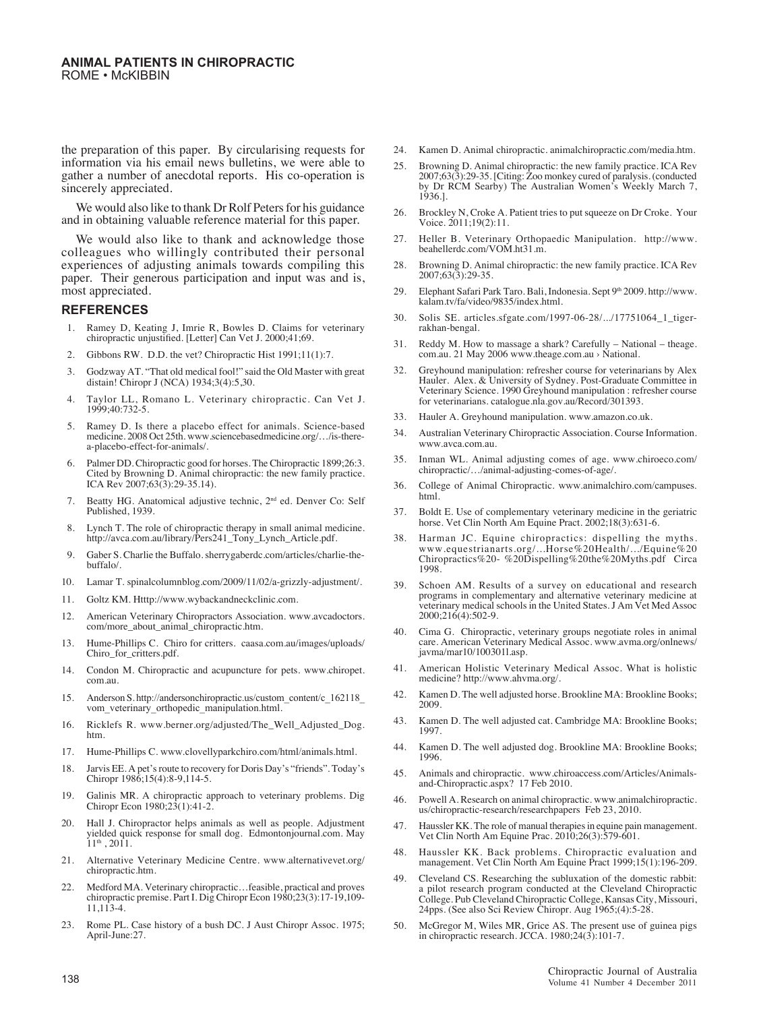the preparation of this paper. By circularising requests for information via his email news bulletins, we were able to gather a number of anecdotal reports. His co-operation is sincerely appreciated.

We would also like to thank Dr Rolf Peters for his guidance and in obtaining valuable reference material for this paper.

We would also like to thank and acknowledge those colleagues who willingly contributed their personal experiences of adjusting animals towards compiling this paper. Their generous participation and input was and is, most appreciated.

#### **REFERENCES**

- 1. Ramey D, Keating J, Imrie R, Bowles D. Claims for veterinary chiropractic unjustified. [Letter] Can Vet J. 2000;41;69.
- 2. Gibbons RW. D.D. the vet? Chiropractic Hist 1991;11(1):7.
- 3. Godzway AT. "That old medical fool!" said the Old Master with great distain! Chiropr J (NCA) 1934;3(4):5,30.
- 4. Taylor LL, Romano L. Veterinary chiropractic. Can Vet J. 1999;40:732-5.
- 5. Ramey D. Is there a placebo effect for animals. Science-based medicine. 2008 Oct 25th. www.sciencebasedmedicine.org/…/is-therea-placebo-effect-for-animals/.
- 6. Palmer DD. Chiropractic good for horses. The Chiropractic 1899;26:3. Cited by Browning D. Animal chiropractic: the new family practice. ICA Rev 2007;63(3):29-35.14).
- 7. Beatty HG. Anatomical adjustive technic, 2nd ed. Denver Co: Self Published, 1939.
- 8. Lynch T. The role of chiropractic therapy in small animal medicine. http://avca.com.au/library/Pers241\_Tony\_Lynch\_Article.pdf.
- 9. Gaber S. Charlie the Buffalo. sherrygaberdc.com/articles/charlie-thebuffalo/.
- 10. Lamar T. spinalcolumnblog.com/2009/11/02/a-grizzly-adjustment/.
- 11. Goltz KM. Htttp://www.wybackandneckclinic.com.
- 12. American Veterinary Chiropractors Association. www.avcadoctors. com/more\_about\_animal\_chiropractic.htm.
- 13. Hume-Phillips C. Chiro for critters. caasa.com.au/images/uploads/ Chiro\_for\_critters.pdf.
- 14. Condon M. Chiropractic and acupuncture for pets. www.chiropet. com.au.
- 15. Anderson S. http://andersonchiropractic.us/custom\_content/c\_162118\_ vom\_veterinary\_orthopedic\_manipulation.html.
- 16. Ricklefs R. www.berner.org/adjusted/The\_Well\_Adjusted\_Dog. htm.
- 17. Hume-Phillips C. www.clovellyparkchiro.com/html/animals.html.
- 18. Jarvis EE. A pet's route to recovery for Doris Day's "friends". Today's Chiropr 1986;15(4):8-9,114-5.
- 19. Galinis MR. A chiropractic approach to veterinary problems. Dig Chiropr Econ 1980;23(1):41-2.
- 20. Hall J. Chiropractor helps animals as well as people. Adjustment yielded quick response for small dog. Edmontonjournal.com. May  $11<sup>th</sup>$ , 2011.
- 21. Alternative Veterinary Medicine Centre. www.alternativevet.org/ chiropractic.htm.
- 22. Medford MA. Veterinary chiropractic…feasible, practical and proves chiropractic premise. Part I. Dig Chiropr Econ 1980;23(3):17-19,109- 11,113-4.
- 23. Rome PL. Case history of a bush DC. J Aust Chiropr Assoc. 1975; April-June:27.
- 24. Kamen D. Animal chiropractic. animalchiropractic.com/media.htm.
- 25. Browning D. Animal chiropractic: the new family practice. ICA Rev 2007;63(3):29-35. [Citing: Zoo monkey cured of paralysis. (conducted by Dr RCM Searby) The Australian Women's Weekly March 7, 1936.].
- 26. Brockley N, Croke A. Patient tries to put squeeze on Dr Croke. Your Voice. 2011;19(2):11.
- 27. Heller B. Veterinary Orthopaedic Manipulation. http://www. beahellerdc.com/VOM.ht31.m.
- 28. Browning D. Animal chiropractic: the new family practice. ICA Rev 2007;63(3):29-35.
- 29. Elephant Safari Park Taro. Bali, Indonesia. Sept 9th 2009. http://www. kalam.tv/fa/video/9835/index.html.
- 30. Solis SE. articles.sfgate.com/1997-06-28/.../17751064\_1\_tigerrakhan-bengal.
- 31. Reddy M. How to massage a shark? Carefully National theage. com.au. 21 May 2006 www.theage.com.au > National.
- 32. Greyhound manipulation: refresher course for veterinarians by Alex Hauler. Alex. & University of Sydney. Post-Graduate Committee in Veterinary Science. 1990 Greyhound manipulation : refresher course for veterinarians. catalogue.nla.gov.au/Record/301393.
- 33. Hauler A. Greyhound manipulation. www.amazon.co.uk.
- 34. Australian Veterinary Chiropractic Association. Course Information. www.avca.com.au.
- 35. Inman WL. Animal adjusting comes of age. www.chiroeco.com/ chiropractic/…/animal-adjusting-comes-of-age/.
- 36. College of Animal Chiropractic. www.animalchiro.com/campuses. html.
- 37. Boldt E. Use of complementary veterinary medicine in the geriatric horse. Vet Clin North Am Equine Pract. 2002;18(3):631-6.
- 38. Harman JC. Equine chiropractics: dispelling the myths. www.equestrianarts.org/...Horse%20Health/.../Equine%20 Chiropractics%20- %20Dispelling%20the%20Myths.pdf Circa 1998.
- 39. Schoen AM. Results of a survey on educational and research programs in complementary and alternative veterinary medicine at veterinary medical schools in the United States. J Am Vet Med Assoc 2000;216(4):502-9.
- 40. Cima G. Chiropractic, veterinary groups negotiate roles in animal care. American Veterinary Medical Assoc. www.avma.org/onlnews/ javma/mar10/100301l.asp.
- 41. American Holistic Veterinary Medical Assoc. What is holistic medicine? http://www.ahvma.org/.
- 42. Kamen D. The well adjusted horse. Brookline MA: Brookline Books; 2009.
- 43. Kamen D. The well adjusted cat. Cambridge MA: Brookline Books; 1997.
- 44. Kamen D. The well adjusted dog. Brookline MA: Brookline Books; 1996.
- 45. Animals and chiropractic. www.chiroaccess.com/Articles/Animalsand-Chiropractic.aspx? 17 Feb 2010.
- 46. Powell A. Research on animal chiropractic. www.animalchiropractic. us/chiropractic-research/researchpapers Feb 23, 2010.
- 47. Haussler KK. The role of manual therapies in equine pain management. Vet Clin North Am Equine Prac. 2010;26(3):579-601.
- Haussler KK. Back problems. Chiropractic evaluation and management. Vet Clin North Am Equine Pract 1999;15(1):196-209.
- Cleveland CS. Researching the subluxation of the domestic rabbit: a pilot research program conducted at the Cleveland Chiropractic College. Pub Cleveland Chiropractic College, Kansas City, Missouri, 24pps. (See also Sci Review Chiropr. Aug 1965;(4):5-28.
- 50. McGregor M, Wiles MR, Grice AS. The present use of guinea pigs in chiropractic research. JCCA. 1980;24(3):101-7.